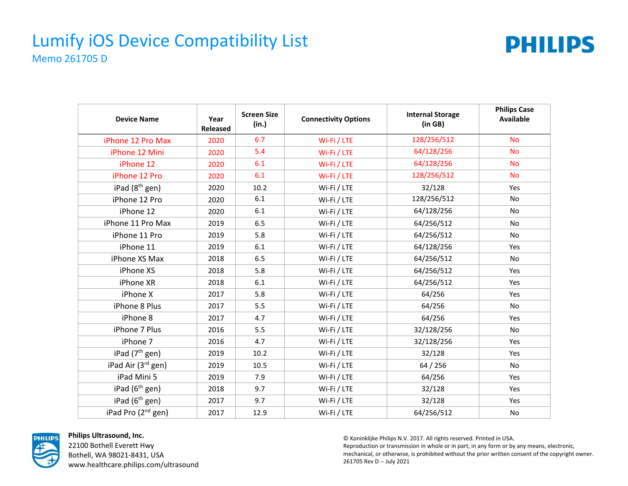#### Lumify iOS Device Compatibility List Memo 261705 D



| <b>Device Name</b>             | Year<br>Released | <b>Screen Size</b><br>(in.) | <b>Connectivity Options</b> | <b>Internal Storage</b><br>(in GB) | <b>Philips Case</b><br><b>Available</b> |
|--------------------------------|------------------|-----------------------------|-----------------------------|------------------------------------|-----------------------------------------|
| iPhone 12 Pro Max              | 2020             | 6.7                         | Wi-Fi / LTE                 | 128/256/512                        | <b>No</b>                               |
| iPhone 12 Mini                 | 2020             | 5.4                         | Wi-Fi / LTE                 | 64/128/256                         | <b>No</b>                               |
| iPhone 12                      | 2020             | 6.1                         | Wi-Fi / LTE                 | 64/128/256                         | <b>No</b>                               |
| iPhone 12 Pro                  | 2020             | 6.1                         | Wi-Fi / LTE                 | 128/256/512                        | <b>No</b>                               |
| iPad $(8th$ gen)               | 2020             | 10.2                        | Wi-Fi / LTE                 | 32/128                             | Yes                                     |
| iPhone 12 Pro                  | 2020             | 6.1                         | Wi-Fi / LTE                 | 128/256/512                        | <b>No</b>                               |
| iPhone 12                      | 2020             | 6.1                         | Wi-Fi / LTE                 | 64/128/256                         | No                                      |
| iPhone 11 Pro Max              | 2019             | 6.5                         | Wi-Fi / LTE                 | 64/256/512                         | No                                      |
| iPhone 11 Pro                  | 2019             | 5.8                         | Wi-Fi / LTE                 | 64/256/512                         | <b>No</b>                               |
| iPhone 11                      | 2019             | 6.1                         | Wi-Fi / LTE                 | 64/128/256                         | Yes                                     |
| iPhone XS Max                  | 2018             | 6.5                         | Wi-Fi / LTE                 | 64/256/512                         | No                                      |
| iPhone XS                      | 2018             | 5.8                         | Wi-Fi / LTE                 | 64/256/512                         | Yes                                     |
| iPhone XR                      | 2018             | 6.1                         | Wi-Fi / LTE                 | 64/256/512                         | Yes                                     |
| iPhone X                       | 2017             | 5.8                         | Wi-Fi / LTE                 | 64/256                             | Yes                                     |
| iPhone 8 Plus                  | 2017             | 5.5                         | Wi-Fi / LTE                 | 64/256                             | <b>No</b>                               |
| iPhone 8                       | 2017             | 4.7                         | Wi-Fi / LTE                 | 64/256                             | Yes                                     |
| iPhone 7 Plus                  | 2016             | 5.5                         | Wi-Fi / LTE                 | 32/128/256                         | No                                      |
| iPhone 7                       | 2016             | 4.7                         | Wi-Fi / LTE                 | 32/128/256                         | Yes                                     |
| iPad (7 <sup>th</sup> gen)     | 2019             | 10.2                        | Wi-Fi / LTE                 | 32/128                             | Yes                                     |
| iPad Air (3rd gen)             | 2019             | 10.5                        | Wi-Fi / LTE                 | 64 / 256                           | No.                                     |
| iPad Mini 5                    | 2019             | 7.9                         | Wi-Fi / LTE                 | 64/256                             | Yes                                     |
| iPad $(6th$ gen)               | 2018             | 9.7                         | Wi-Fi / LTE                 | 32/128                             | Yes                                     |
| iPad (6 <sup>th</sup> gen)     | 2017             | 9.7                         | Wi-Fi / LTE                 | 32/128                             | Yes                                     |
| iPad Pro (2 <sup>nd</sup> gen) | 2017             | 12.9                        | Wi-Fi / LTE                 | 64/256/512                         | No                                      |



**Philips Ultrasound, Inc.** 22100 Bothell Everett Hwy Bothell, WA 98021-8431, USA www.healthcare.philips.com/ultrasound

© Koninklijke Philips N.V. 2017. All rights reserved. Printed in USA. Reproduction or transmission in whole or in part, in any form or by any means, electronic, mechanical, or otherwise, is prohibited without the prior written consent of the copyright owner. 261705 Rev D -- July 2021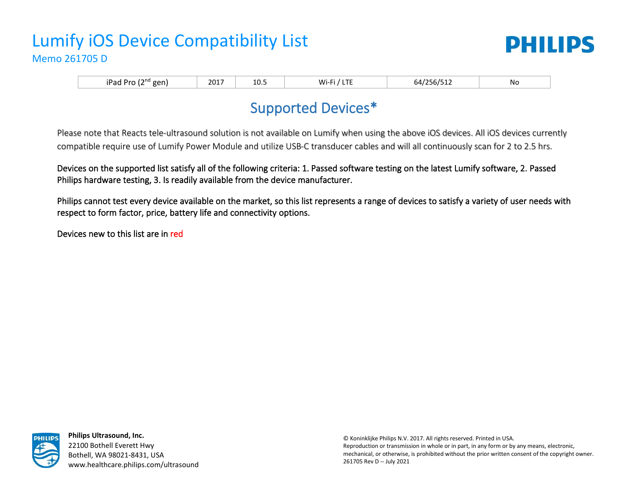# Lumify iOS Device Compatibility List Memo 261705 D



iPad Pro (2nd gen) 2017 10.5 Wi-Fi / LTE 64/256/512 No

# Supported Devices\*

Please note that Reacts tele-ultrasound solution is not available on Lumify when using the above iOS devices. All iOS devices currently compatible require use of Lumify Power Module and utilize USB-C transducer cables and will all continuously scan for 2 to 2.5 hrs.

Devices on the supported list satisfy all of the following criteria: 1. Passed software testing on the latest Lumify software, 2. Passed Philips hardware testing, 3. Is readily available from the device manufacturer.

Philips cannot test every device available on the market, so this list represents a range of devices to satisfy a variety of user needs with respect to form factor, price, battery life and connectivity options.

Devices new to this list are in red



**Philips Ultrasound, Inc.** 22100 Bothell Everett Hwy Bothell, WA 98021-8431, USA www.healthcare.philips.com/ultrasound

© Koninklijke Philips N.V. 2017. All rights reserved. Printed in USA. Reproduction or transmission in whole or in part, in any form or by any means, electronic, mechanical, or otherwise, is prohibited without the prior written consent of the copyright owner. 261705 Rev D -- July 2021